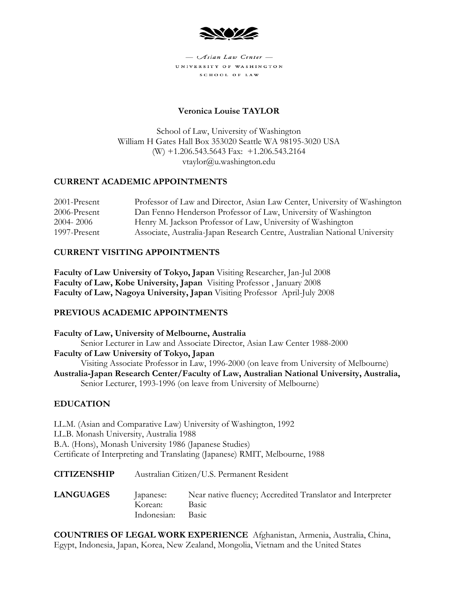

 $-$  Asian Law Center  $-$ UNIVERSITY OF WASHINGTON SCHOOL OF LAW

# **Veronica Louise TAYLOR**

School of Law, University of Washington William H Gates Hall Box 353020 Seattle WA 98195-3020 USA (W) +1.206.543.5643 Fax: +1.206.543.2164 vtaylor@u.washington.edu

# **CURRENT ACADEMIC APPOINTMENTS**

| 2001-Present | Professor of Law and Director, Asian Law Center, University of Washington  |
|--------------|----------------------------------------------------------------------------|
| 2006-Present | Dan Fenno Henderson Professor of Law, University of Washington             |
| 2004-2006    | Henry M. Jackson Professor of Law, University of Washington                |
| 1997-Present | Associate, Australia-Japan Research Centre, Australian National University |

#### **CURRENT VISITING APPOINTMENTS**

**Faculty of Law University of Tokyo, Japan** Visiting Researcher, Jan-Jul 2008 **Faculty of Law, Kobe University, Japan** Visiting Professor , January 2008 **Faculty of Law, Nagoya University, Japan** Visiting Professor April-July 2008

### **PREVIOUS ACADEMIC APPOINTMENTS**

**Faculty of Law, University of Melbourne, Australia**  Senior Lecturer in Law and Associate Director, Asian Law Center 1988-2000 **Faculty of Law University of Tokyo, Japan**  Visiting Associate Professor in Law, 1996-2000 (on leave from University of Melbourne) **Australia-Japan Research Center/Faculty of Law, Australian National University, Australia,** Senior Lecturer, 1993-1996 (on leave from University of Melbourne)

# **EDUCATION**

LL.M. (Asian and Comparative Law) University of Washington, 1992 LL.B. Monash University, Australia 1988 B.A. (Hons), Monash University 1986 (Japanese Studies) Certificate of Interpreting and Translating (Japanese) RMIT, Melbourne, 1988

**CITIZENSHIP** Australian Citizen/U.S. Permanent Resident

**LANGUAGES** Japanese: Near native fluency; Accredited Translator and Interpreter Korean: Basic Indonesian: Basic

**COUNTRIES OF LEGAL WORK EXPERIENCE** Afghanistan, Armenia, Australia, China, Egypt, Indonesia, Japan, Korea, New Zealand, Mongolia, Vietnam and the United States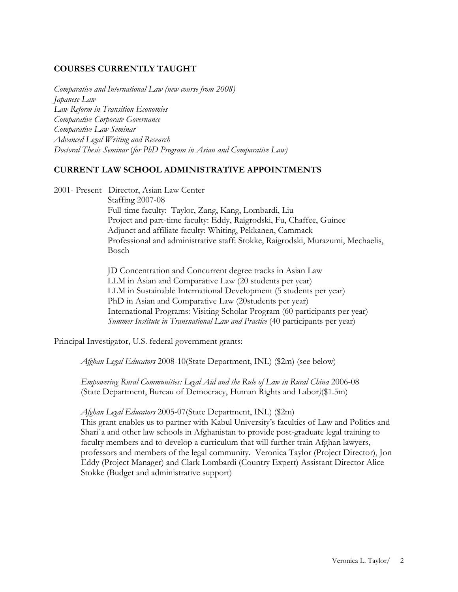## **COURSES CURRENTLY TAUGHT**

*Comparative and International Law (new course from 2008) Japanese Law Law Reform in Transition Economies Comparative Corporate Governance Comparative Law Seminar Advanced Legal Writing and Research Doctoral Thesis Seminar* (*for PhD Program in Asian and Comparative Law)* 

#### **CURRENT LAW SCHOOL ADMINISTRATIVE APPOINTMENTS**

2001- Present Director, Asian Law Center

Staffing 2007-08 Full-time faculty: Taylor, Zang, Kang, Lombardi, Liu Project and part-time faculty: Eddy, Raigrodski, Fu, Chaffee, Guinee Adjunct and affiliate faculty: Whiting, Pekkanen, Cammack Professional and administrative staff: Stokke, Raigrodski, Murazumi, Mechaelis, Bosch

JD Concentration and Concurrent degree tracks in Asian Law LLM in Asian and Comparative Law (20 students per year) LLM in Sustainable International Development (5 students per year) PhD in Asian and Comparative Law (20students per year) International Programs: Visiting Scholar Program (60 participants per year) *Summer Institute in Transnational Law and Practice* (40 participants per year)

Principal Investigator, U.S. federal government grants:

*Afghan Legal Educators* 2008-10(State Department, INL) (\$2m) (see below)

*Empowering Rural Communities: Legal Aid and the Rule of Law in Rural China* 2006-08 (State Department, Bureau of Democracy, Human Rights and Labor*)*(\$1.5m)

*Afghan Legal Educators* 2005-07(State Department, INL) (\$2m)

This grant enables us to partner with Kabul University's faculties of Law and Politics and Shari`a and other law schools in Afghanistan to provide post-graduate legal training to faculty members and to develop a curriculum that will further train Afghan lawyers, professors and members of the legal community. Veronica Taylor (Project Director), Jon Eddy (Project Manager) and Clark Lombardi (Country Expert) Assistant Director Alice Stokke (Budget and administrative support)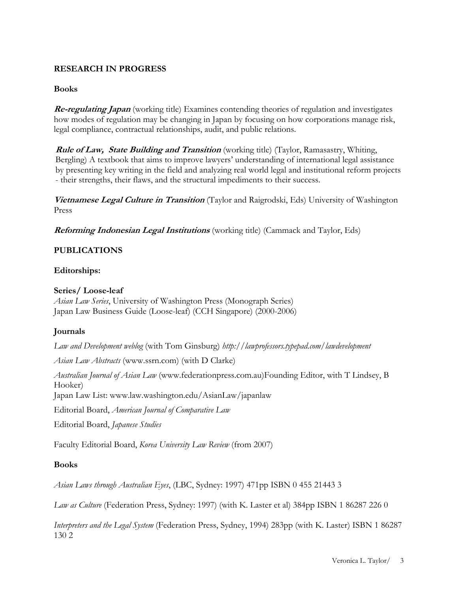### **RESEARCH IN PROGRESS**

#### **Books**

**Re-regulating Japan** (working title) Examines contending theories of regulation and investigates how modes of regulation may be changing in Japan by focusing on how corporations manage risk, legal compliance, contractual relationships, audit, and public relations.

**Rule of Law, State Building and Transition** (working title) (Taylor, Ramasastry, Whiting, Bergling) A textbook that aims to improve lawyers' understanding of international legal assistance by presenting key writing in the field and analyzing real world legal and institutional reform projects - their strengths, their flaws, and the structural impediments to their success.

**Vietnamese Legal Culture in Transition** (Taylor and Raigrodski, Eds) University of Washington Press

**Reforming Indonesian Legal Institutions** (working title) (Cammack and Taylor, Eds)

# **PUBLICATIONS**

#### **Editorships:**

#### **Series/ Loose-leaf**

*Asian Law Series*, University of Washington Press (Monograph Series) Japan Law Business Guide (Loose-leaf) (CCH Singapore) (2000-2006)

#### **Journals**

*Law and Development weblog* (with Tom Ginsburg) *http://lawprofessors.typepad.com/lawdevelopment* 

*Asian Law Abstracts* (www.ssrn.com) (with D Clarke)

*Australian Journal of Asian Law* (www.federationpress.com.au)Founding Editor, with T Lindsey, B Hooker) Japan Law List: www.law.washington.edu/AsianLaw/japanlaw

Editorial Board, *American Journal of Comparative Law*

Editorial Board, *Japanese Studies* 

Faculty Editorial Board, *Korea University Law Review* (from 2007)

#### **Books**

*Asian Laws through Australian Eyes*, (LBC, Sydney: 1997) 471pp ISBN 0 455 21443 3

*Law as Culture* (Federation Press, Sydney: 1997) (with K. Laster et al) 384pp ISBN 1 86287 226 0

*Interpreters and the Legal System* (Federation Press, Sydney, 1994) 283pp (with K. Laster) ISBN 1 86287 130 2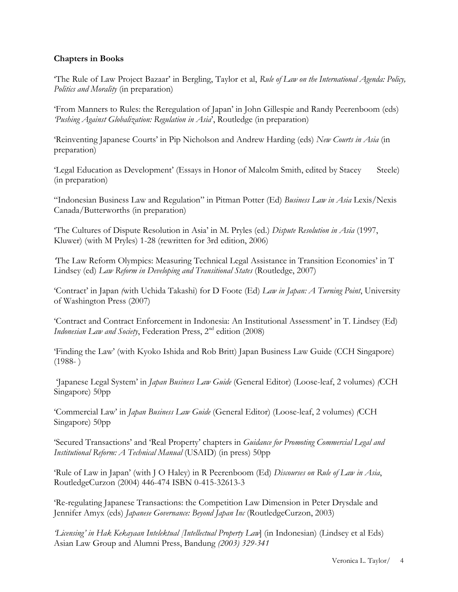## **Chapters in Books**

'The Rule of Law Project Bazaar' in Bergling, Taylor et al, *Rule of Law on the International Agenda: Policy, Politics and Morality* (in preparation)

'From Manners to Rules: the Reregulation of Japan' in John Gillespie and Randy Peerenboom (eds) *'Pushing Against Globalization: Regulation in Asia*', Routledge (in preparation)

'Reinventing Japanese Courts' in Pip Nicholson and Andrew Harding (eds) *New Courts in Asia* (in preparation)

'Legal Education as Development' (Essays in Honor of Malcolm Smith, edited by Stacey Steele) (in preparation)

"Indonesian Business Law and Regulation" in Pitman Potter (Ed) *Business Law in Asia* Lexis/Nexis Canada/Butterworths (in preparation)

'The Cultures of Dispute Resolution in Asia' in M. Pryles (ed.) *Dispute Resolution in Asia* (1997, Kluwer) (with M Pryles) 1-28 (rewritten for 3rd edition, 2006)

*'*The Law Reform Olympics: Measuring Technical Legal Assistance in Transition Economies' in T Lindsey (ed) *Law Reform in Developing and Transitional States* (Routledge, 2007)

'Contract' in Japan *(*with Uchida Takashi) for D Foote (Ed) *Law in Japan: A Turning Point*, University of Washington Press (2007)

'Contract and Contract Enforcement in Indonesia: An Institutional Assessment' in T. Lindsey (Ed) *Indonesian Law and Society*, Federation Press, 2<sup>nd</sup> edition (2008)

'Finding the Law' (with Kyoko Ishida and Rob Britt) Japan Business Law Guide (CCH Singapore)  $(1988- )$ 

 'Japanese Legal System' in *Japan Business Law Guide* (General Editor) (Loose-leaf, 2 volumes) *(*CCH Singapore) 50pp

'Commercial Law' in *Japan Business Law Guide* (General Editor) (Loose-leaf, 2 volumes) *(*CCH Singapore) 50pp

'Secured Transactions' and 'Real Property' chapters in *Guidance for Promoting Commercial Legal and Institutional Reform: A Technical Manual* (USAID) (in press) 50pp

'Rule of Law in Japan' (with J O Haley) in R Peerenboom (Ed) *Discourses on Rule of Law in Asia*, RoutledgeCurzon (2004) 446-474 ISBN 0-415-32613-3

'Re-regulating Japanese Transactions: the Competition Law Dimension in Peter Drysdale and Jennifer Amyx (eds) *Japanese Governance: Beyond Japan Inc* (RoutledgeCurzon, 2003)

*'Licensing' in Hak Kekayaan Intelektual [Intellectual Property Law*] (in Indonesian) (Lindsey et al Eds) Asian Law Group and Alumni Press, Bandung *(2003) 329-341*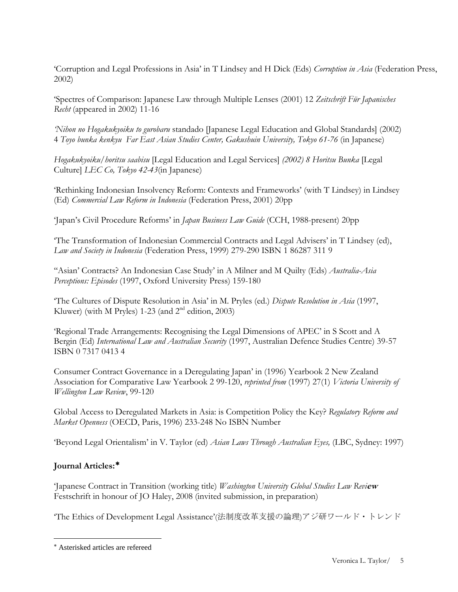'Corruption and Legal Professions in Asia' in T Lindsey and H Dick (Eds) *Corruption in Asia* (Federation Press, 2002)

'Spectres of Comparison: Japanese Law through Multiple Lenses (2001) 12 *Zeitschrift Für Japanisches Recht* (appeared in 2002) 11-16

*'Nihon no Hogakukyoiku to gurobaru* standado [Japanese Legal Education and Global Standards] (2002) 4 *Toyo bunka kenkyu Far East Asian Studies Center, Gakushuin University, Tokyo 61-76* (in Japanese)

*Hogakukyoiku/horitsu saabisu* [Legal Education and Legal Services] *(2002) 8 Horitsu Bunka* [Legal Culture] *LEC Co, Tokyo 42-43*(in Japanese)

'Rethinking Indonesian Insolvency Reform: Contexts and Frameworks' (with T Lindsey) in Lindsey (Ed) *Commercial Law Reform in Indonesia* (Federation Press, 2001) 20pp

'Japan's Civil Procedure Reforms' in *Japan Business Law Guide* (CCH, 1988-present) 20pp

'The Transformation of Indonesian Commercial Contracts and Legal Advisers' in T Lindsey (ed), *Law and Society in Indonesia* (Federation Press, 1999) 279-290 ISBN 1 86287 311 9

''Asian' Contracts? An Indonesian Case Study' in A Milner and M Quilty (Eds) *Australia-Asia Perceptions: Episodes* (1997, Oxford University Press) 159-180

'The Cultures of Dispute Resolution in Asia' in M. Pryles (ed.) *Dispute Resolution in Asia* (1997, Kluwer) (with M Pryles) 1-23 (and  $2<sup>nd</sup>$  edition, 2003)

'Regional Trade Arrangements: Recognising the Legal Dimensions of APEC' in S Scott and A Bergin (Ed) *International Law and Australian Security* (1997, Australian Defence Studies Centre) 39-57 ISBN 0 7317 0413 4

Consumer Contract Governance in a Deregulating Japan' in (1996) Yearbook 2 New Zealand Association for Comparative Law Yearbook 2 99-120, *reprinted from* (1997) 27(1) *Victoria University of Wellington Law Review*, 99-120

Global Access to Deregulated Markets in Asia: is Competition Policy the Key? *Regulatory Reform and Market Openness* (OECD, Paris, 1996) 233-248 No ISBN Number

'Beyond Legal Orientalism' in V. Taylor (ed) *Asian Laws Through Australian Eyes,* (LBC, Sydney: 1997)

# **Journal Articles:**[∗](#page-4-0)

 $\overline{a}$ 

'Japanese Contract in Transition (working title) *Washington University Global Studies Law Revi***ew**  Festschrift in honour of JO Haley, 2008 (invited submission, in preparation)

'The Ethics of Development Legal Assistance'(法制度改革支援の論理)アジ研ワールド・トレンド

<span id="page-4-0"></span><sup>∗</sup> Asterisked articles are refereed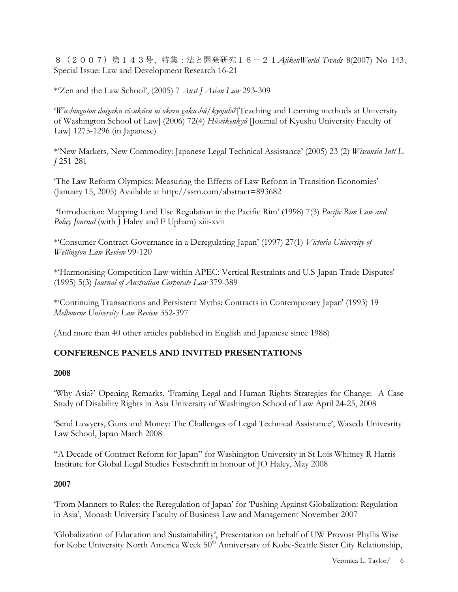8(2007)第143号、特集:法と開発研究16-21*AjikenWorld Trends* 8(2007) No 143、 Special Issue: Law and Development Research 16-21

\*'Zen and the Law School', (2005) 7 *Aust J Asian Law* 293-309

'*Washinguton daigaku rōsukūru ni okeru gakushū/kyojuhō*'[Teaching and Learning methods at University of Washington School of Law] (2006) 72(4) *Hōseikenkyū* [Journal of Kyushu University Faculty of Law] 1275-1296 (in Japanese)

\*'New Markets, New Commodity: Japanese Legal Technical Assistance' (2005) 23 (2) *Wisconsin Intl L J* 251-281

'The Law Reform Olympics: Measuring the Effects of Law Reform in Transition Economies' (January 15, 2005) Available at http://ssrn.com/abstract=893682

 **'**Introduction: Mapping Land Use Regulation in the Pacific Rim' (1998) 7(3) *Pacific Rim Law and Policy Journal* (with J Haley and F Upham) xiii-xvii

\*'Consumer Contract Governance in a Deregulating Japan' (1997) 27(1) *Victoria University of Wellington Law Review* 99-120

\*'Harmonising Competition Law within APEC: Vertical Restraints and U.S-Japan Trade Disputes' (1995) 5(3) *Journal of Australian Corporate Law* 379-389

\*'Continuing Transactions and Persistent Myths: Contracts in Contemporary Japan' (1993) 19 *Melbourne University Law Review* 352-397

(And more than 40 other articles published in English and Japanese since 1988)

# **CONFERENCE PANELS AND INVITED PRESENTATIONS**

#### **2008**

'Why Asia?' Opening Remarks, 'Framing Legal and Human Rights Strategies for Change: A Case Study of Disability Rights in Asia University of Washington School of Law April 24-25, 2008

'Send Lawyers, Guns and Money: The Challenges of Legal Technical Assistance', Waseda Univesrity Law School, Japan March 2008

"A Decade of Contract Reform for Japan" for Washington University in St Lois Whitney R Harris Institute for Global Legal Studies Festschrift in honour of JO Haley, May 2008

#### **2007**

'From Manners to Rules: the Reregulation of Japan' for 'Pushing Against Globalization: Regulation in Asia', Monash University Faculty of Business Law and Management November 2007

'Globalization of Education and Sustainability', Presentation on behalf of UW Provost Phyllis Wise for Kobe University North America Week 50<sup>th</sup> Anniversary of Kobe-Seattle Sister City Relationship,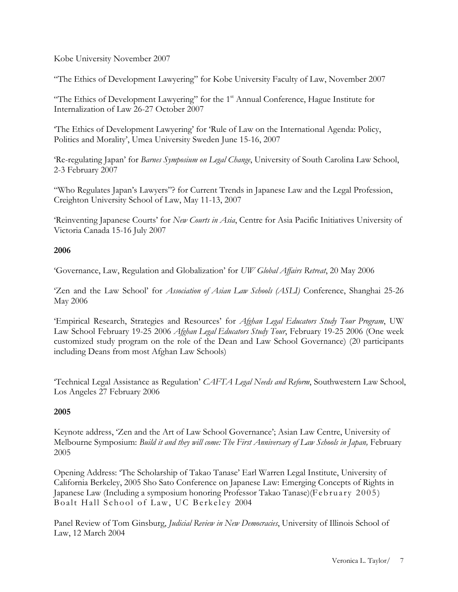### Kobe University November 2007

"The Ethics of Development Lawyering" for Kobe University Faculty of Law, November 2007

"The Ethics of Development Lawyering" for the  $1<sup>st</sup>$  Annual Conference, Hague Institute for Internalization of Law 26-27 October 2007

'The Ethics of Development Lawyering' for 'Rule of Law on the International Agenda: Policy, Politics and Morality', Umea University Sweden June 15-16, 2007

'Re-regulating Japan' for *Barnes Symposium on Legal Change*, University of South Carolina Law School, 2-3 February 2007

"Who Regulates Japan's Lawyers"? for Current Trends in Japanese Law and the Legal Profession, Creighton University School of Law, May 11-13, 2007

'Reinventing Japanese Courts' for *New Courts in Asia*, Centre for Asia Pacific Initiatives University of Victoria Canada 15-16 July 2007

# **2006**

'Governance, Law, Regulation and Globalization' for *UW Global Affairs Retreat*, 20 May 2006

'Zen and the Law School' for *Association of Asian Law Schools (ASLI)* Conference, Shanghai 25-26 May 2006

'Empirical Research, Strategies and Resources' for *Afghan Legal Educators Study Tour Program*, UW Law School February 19-25 2006 *Afghan Legal Educators Study Tour*, February 19-25 2006 (One week customized study program on the role of the Dean and Law School Governance) (20 participants including Deans from most Afghan Law Schools)

'Technical Legal Assistance as Regulation' *CAFTA Legal Needs and Reform*, Southwestern Law School, Los Angeles 27 February 2006

# **2005**

Keynote address, 'Zen and the Art of Law School Governance'; Asian Law Centre, University of Melbourne Symposium: *Build it and they will come: The First Anniversary of Law Schools in Japan*, February 2005

Opening Address: 'The Scholarship of Takao Tanase' Earl Warren Legal Institute, University of California Berkeley, 2005 Sho Sato Conference on Japanese Law: Emerging Concepts of Rights in Japanese Law (Including a symposium honoring Professor Takao Tanase)(February 2005) Boalt Hall School of Law, UC Berkeley 2004

Panel Review of Tom Ginsburg, *Judicial Review in New Democracies*, University of Illinois School of Law, 12 March 2004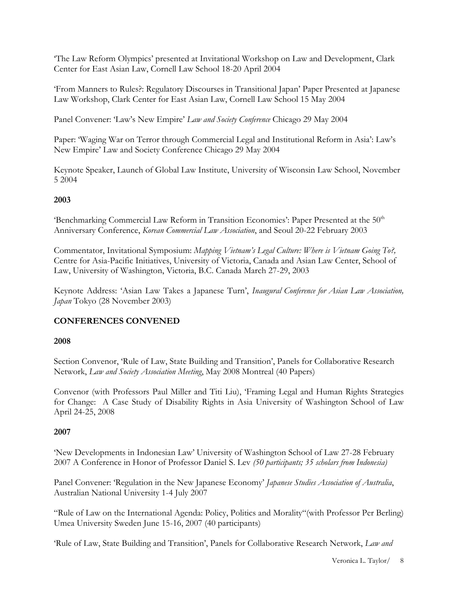'The Law Reform Olympics' presented at Invitational Workshop on Law and Development, Clark Center for East Asian Law, Cornell Law School 18-20 April 2004

'From Manners to Rules?: Regulatory Discourses in Transitional Japan' Paper Presented at Japanese Law Workshop, Clark Center for East Asian Law, Cornell Law School 15 May 2004

Panel Convener: 'Law's New Empire' *Law and Society Conference* Chicago 29 May 2004

Paper: 'Waging War on Terror through Commercial Legal and Institutional Reform in Asia': Law's New Empire' Law and Society Conference Chicago 29 May 2004

Keynote Speaker, Launch of Global Law Institute, University of Wisconsin Law School, November 5 2004

# **2003**

'Benchmarking Commercial Law Reform in Transition Economies': Paper Presented at the 50<sup>th</sup> Anniversary Conference, *Korean Commercial Law Association*, and Seoul 20-22 February 2003

Commentator, Invitational Symposium: *Mapping Vietnam's Legal Culture: Where is Vietnam Going To?,* Centre for Asia-Pacific Initiatives, University of Victoria, Canada and Asian Law Center, School of Law, University of Washington, Victoria, B.C. Canada March 27-29, 2003

Keynote Address: 'Asian Law Takes a Japanese Turn', *Inaugural Conference for Asian Law Association, Japan* Tokyo (28 November 2003)

# **CONFERENCES CONVENED**

#### **2008**

Section Convenor, 'Rule of Law, State Building and Transition', Panels for Collaborative Research Network, *Law and Society Association Meeting*, May 2008 Montreal (40 Papers)

Convenor (with Professors Paul Miller and Titi Liu), 'Framing Legal and Human Rights Strategies for Change: A Case Study of Disability Rights in Asia University of Washington School of Law April 24-25, 2008

#### **2007**

'New Developments in Indonesian Law' University of Washington School of Law 27-28 February 2007 A Conference in Honor of Professor Daniel S. Lev *(50 participants; 35 scholars from Indonesia)* 

Panel Convener: 'Regulation in the New Japanese Economy' *Japanese Studies Association of Australia*, Australian National University 1-4 July 2007

"Rule of Law on the International Agenda: Policy, Politics and Morality"(with Professor Per Berling) Umea University Sweden June 15-16, 2007 (40 participants)

'Rule of Law, State Building and Transition', Panels for Collaborative Research Network, *Law and*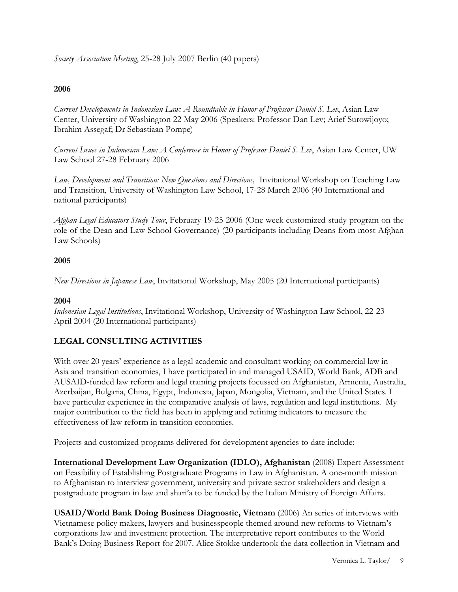*Society Association Meeting*, 25-28 July 2007 Berlin (40 papers)

# **2006**

*Current Developments in Indonesian Law: A Roundtable in Honor of Professor Daniel S. Lev*, Asian Law Center, University of Washington 22 May 2006 (Speakers: Professor Dan Lev; Arief Surowijoyo; Ibrahim Assegaf; Dr Sebastiaan Pompe)

*Current Issues in Indonesian Law: A Conference in Honor of Professor Daniel S. Lev*, Asian Law Center, UW Law School 27-28 February 2006

Law, Development and Transition: New Questions and Directions, Invitational Workshop on Teaching Law and Transition, University of Washington Law School, 17-28 March 2006 (40 International and national participants)

*Afghan Legal Educators Study Tour*, February 19-25 2006 (One week customized study program on the role of the Dean and Law School Governance) (20 participants including Deans from most Afghan Law Schools)

# **2005**

*New Directions in Japanese Law*, Invitational Workshop, May 2005 (20 International participants)

# **2004**

*Indonesian Legal Institutions*, Invitational Workshop, University of Washington Law School, 22-23 April 2004 (20 International participants)

# **LEGAL CONSULTING ACTIVITIES**

With over 20 years' experience as a legal academic and consultant working on commercial law in Asia and transition economies, I have participated in and managed USAID, World Bank, ADB and AUSAID-funded law reform and legal training projects focussed on Afghanistan, Armenia, Australia, Azerbaijan, Bulgaria, China, Egypt, Indonesia, Japan, Mongolia, Vietnam, and the United States. I have particular experience in the comparative analysis of laws, regulation and legal institutions. My major contribution to the field has been in applying and refining indicators to measure the effectiveness of law reform in transition economies.

Projects and customized programs delivered for development agencies to date include:

**International Development Law Organization (IDLO), Afghanistan** (2008) Expert Assessment on Feasibility of Establishing Postgraduate Programs in Law in Afghanistan. A one-month mission to Afghanistan to interview government, university and private sector stakeholders and design a postgraduate program in law and shari'a to be funded by the Italian Ministry of Foreign Affairs.

**USAID/World Bank Doing Business Diagnostic, Vietnam** (2006) An series of interviews with Vietnamese policy makers, lawyers and businesspeople themed around new reforms to Vietnam's corporations law and investment protection. The interpretative report contributes to the World Bank's Doing Business Report for 2007. Alice Stokke undertook the data collection in Vietnam and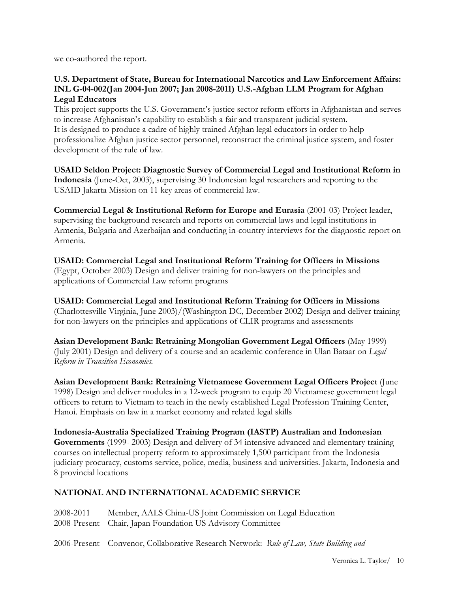we co-authored the report.

# **U.S. Department of State, Bureau for International Narcotics and Law Enforcement Affairs: INL G-04-002(Jan 2004-Jun 2007; Jan 2008-2011) U.S.-Afghan LLM Program for Afghan Legal Educators**

This project supports the U.S. Government's justice sector reform efforts in Afghanistan and serves to increase Afghanistan's capability to establish a fair and transparent judicial system. It is designed to produce a cadre of highly trained Afghan legal educators in order to help professionalize Afghan justice sector personnel, reconstruct the criminal justice system, and foster development of the rule of law.

**USAID Seldon Project: Diagnostic Survey of Commercial Legal and Institutional Reform in Indonesia** (June-Oct, 2003), supervising 30 Indonesian legal researchers and reporting to the USAID Jakarta Mission on 11 key areas of commercial law.

**Commercial Legal & Institutional Reform for Europe and Eurasia** (2001-03) Project leader, supervising the background research and reports on commercial laws and legal institutions in Armenia, Bulgaria and Azerbaijan and conducting in-country interviews for the diagnostic report on Armenia.

**USAID: Commercial Legal and Institutional Reform Training for Officers in Missions**  (Egypt, October 2003) Design and deliver training for non-lawyers on the principles and applications of Commercial Law reform programs

**USAID: Commercial Legal and Institutional Reform Training for Officers in Missions**  (Charlottesville Virginia, June 2003)/(Washington DC, December 2002) Design and deliver training for non-lawyers on the principles and applications of CLIR programs and assessments

**Asian Development Bank: Retraining Mongolian Government Legal Officers** (May 1999) (July 2001) Design and delivery of a course and an academic conference in Ulan Bataar on *Legal Reform in Transition Economies.*

**Asian Development Bank: Retraining Vietnamese Government Legal Officers Project** (June 1998) Design and deliver modules in a 12-week program to equip 20 Vietnamese government legal officers to return to Vietnam to teach in the newly established Legal Profession Training Center, Hanoi. Emphasis on law in a market economy and related legal skills

**Indonesia-Australia Specialized Training Program (IASTP) Australian and Indonesian Governments** (1999- 2003) Design and delivery of 34 intensive advanced and elementary training courses on intellectual property reform to approximately 1,500 participant from the Indonesia judiciary procuracy, customs service, police, media, business and universities. Jakarta, Indonesia and 8 provincial locations

# **NATIONAL AND INTERNATIONAL ACADEMIC SERVICE**

2008-2011 Member, AALS China-US Joint Commission on Legal Education 2008-Present Chair, Japan Foundation US Advisory Committee

2006-Present Convenor, Collaborative Research Network: *Rule of Law, State Building and*